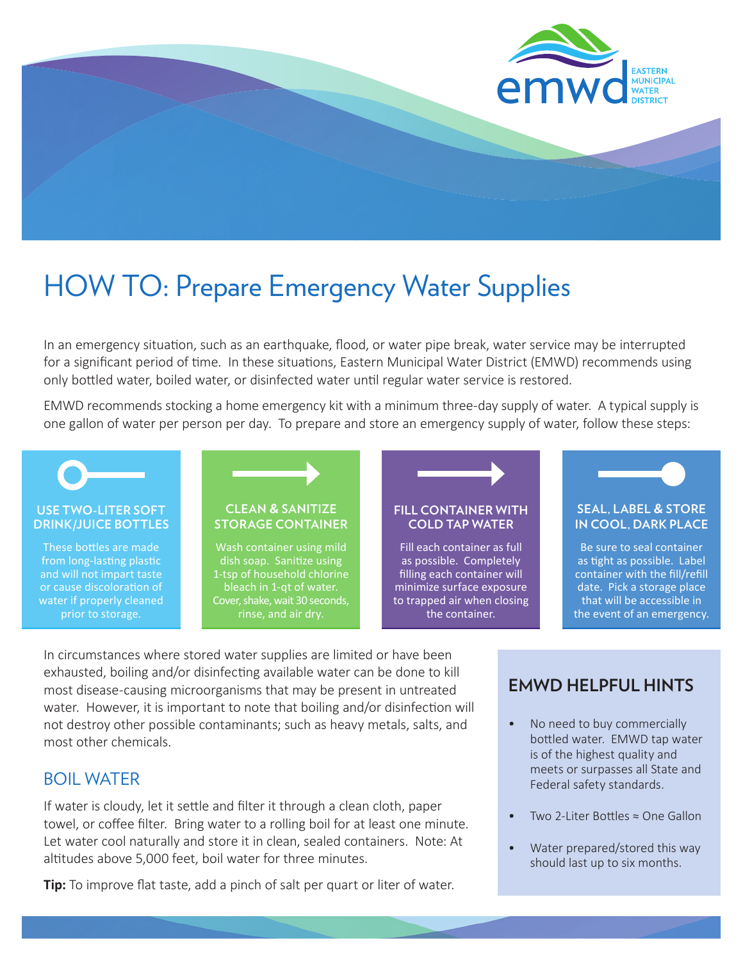

# HOW TO: Prepare Emergency Water Supplies

In an emergency situation, such as an earthquake, flood, or water pipe break, water service may be interrupted for a significant period of time. In these situations, Eastern Municipal Water District (EMWD) recommends using only bottled water, boiled water, or disinfected water until regular water service is restored.

EMWD recommends stocking a home emergency kit with a minimum three-day supply of water. A typical supply is one gallon of water per person per day. To prepare and store an emergency supply of water, follow these steps:



In circumstances where stored water supplies are limited or have been exhausted, boiling and/or disinfecting available water can be done to kill most disease-causing microorganisms that may be present in untreated water. However, it is important to note that boiling and/or disinfection will not destroy other possible contaminants; such as heavy metals, salts, and most other chemicals.

## BOIL WATER

If water is cloudy, let it settle and filter it through a clean cloth, paper towel, or coffee filter. Bring water to a rolling boil for at least one minute. Let water cool naturally and store it in clean, sealed containers. Note: At altitudes above 5,000 feet, boil water for three minutes.

**Tip:** To improve flat taste, add a pinch of salt per quart or liter of water.

## **EMWD HELPFUL HINTS**

- No need to buy commercially bottled water. EMWD tap water is of the highest quality and meets or surpasses all State and Federal safety standards.
- Two 2-Liter Bottles  $\approx$  One Gallon
- Water prepared/stored this way should last up to six months.